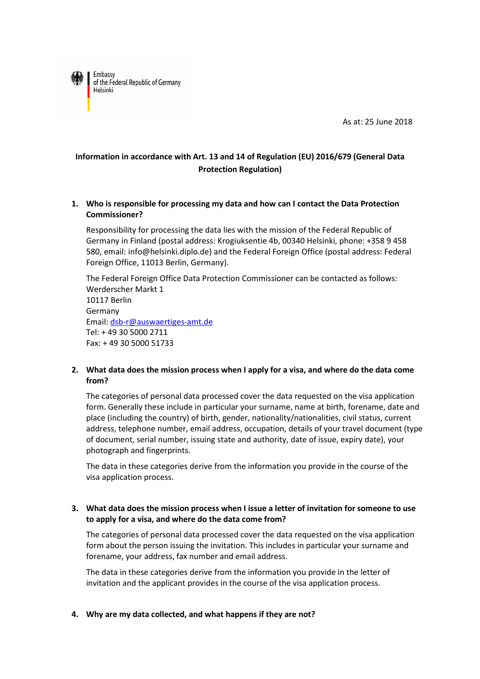

As at: 25 June 2018

# **Information in accordance with Art. 13 and 14 of Regulation (EU) 2016/679 (General Data Protection Regulation)**

**1. Who is responsible for processing my data and how can I contact the Data Protection Commissioner?** 

Responsibility for processing the data lies with the mission of the Federal Republic of Germany in Finland (postal address: Krogiuksentie 4b, 00340 Helsinki, phone: +358 9 458 580, email: info@helsinki.diplo.de) and the Federal Foreign Office (postal address: Federal Foreign Office, 11013 Berlin, Germany).

The Federal Foreign Office Data Protection Commissioner can be contacted as follows: Werderscher Markt 1 10117 Berlin Germany Email: dsb-r@auswaertiges-amt.de Tel: + 49 30 5000 2711 Fax: + 49 30 5000 51733

# **2. What data does the mission process when I apply for a visa, and where do the data come from?**

The categories of personal data processed cover the data requested on the visa application form. Generally these include in particular your surname, name at birth, forename, date and place (including the country) of birth, gender, nationality/nationalities, civil status, current address, telephone number, email address, occupation, details of your travel document (type of document, serial number, issuing state and authority, date of issue, expiry date), your photograph and fingerprints.

The data in these categories derive from the information you provide in the course of the visa application process.

## **3. What data does the mission process when I issue a letter of invitation for someone to use to apply for a visa, and where do the data come from?**

The categories of personal data processed cover the data requested on the visa application form about the person issuing the invitation. This includes in particular your surname and forename, your address, fax number and email address.

The data in these categories derive from the information you provide in the letter of invitation and the applicant provides in the course of the visa application process.

**4. Why are my data collected, and what happens if they are not?**